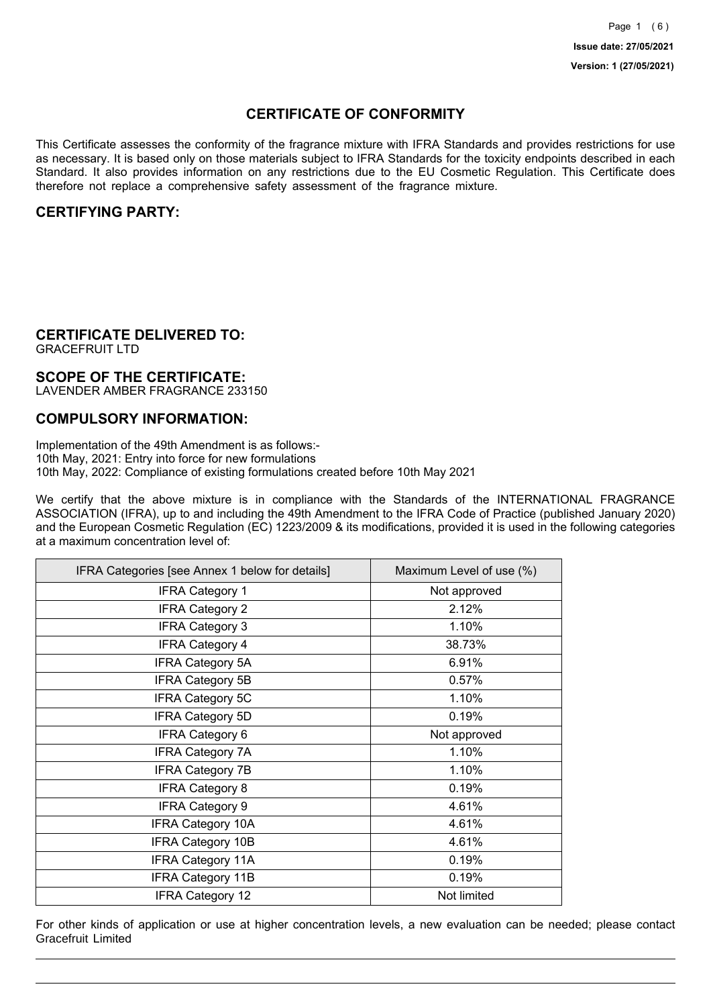# **CERTIFICATE OF CONFORMITY**

This Certificate assesses the conformity of the fragrance mixture with IFRA Standards and provides restrictions for use as necessary. It is based only on those materials subject to IFRA Standards for the toxicity endpoints described in each Standard. It also provides information on any restrictions due to the EU Cosmetic Regulation. This Certificate does therefore not replace a comprehensive safety assessment of the fragrance mixture.

## **CERTIFYING PARTY:**

# **CERTIFICATE DELIVERED TO:**

GRACEFRUIT LTD

### **SCOPE OF THE CERTIFICATE:**

LAVENDER AMBER FRAGRANCE 233150

### **COMPULSORY INFORMATION:**

Implementation of the 49th Amendment is as follows:- 10th May, 2021: Entry into force for new formulations 10th May, 2022: Compliance of existing formulations created before 10th May 2021

We certify that the above mixture is in compliance with the Standards of the INTERNATIONAL FRAGRANCE ASSOCIATION (IFRA), up to and including the 49th Amendment to the IFRA Code of Practice (published January 2020) and the European Cosmetic Regulation (EC) 1223/2009 & its modifications, provided it is used in the following categories at a maximum concentration level of:

| IFRA Categories [see Annex 1 below for details] | Maximum Level of use (%) |
|-------------------------------------------------|--------------------------|
| <b>IFRA Category 1</b>                          | Not approved             |
| <b>IFRA Category 2</b>                          | 2.12%                    |
| <b>IFRA Category 3</b>                          | 1.10%                    |
| <b>IFRA Category 4</b>                          | 38.73%                   |
| <b>IFRA Category 5A</b>                         | 6.91%                    |
| <b>IFRA Category 5B</b>                         | 0.57%                    |
| <b>IFRA Category 5C</b>                         | 1.10%                    |
| <b>IFRA Category 5D</b>                         | 0.19%                    |
| <b>IFRA Category 6</b>                          | Not approved             |
| <b>IFRA Category 7A</b>                         | 1.10%                    |
| <b>IFRA Category 7B</b>                         | 1.10%                    |
| <b>IFRA Category 8</b>                          | 0.19%                    |
| <b>IFRA Category 9</b>                          | 4.61%                    |
| <b>IFRA Category 10A</b>                        | 4.61%                    |
| <b>IFRA Category 10B</b>                        | 4.61%                    |
| <b>IFRA Category 11A</b>                        | 0.19%                    |
| <b>IFRA Category 11B</b>                        | 0.19%                    |
| <b>IFRA Category 12</b>                         | Not limited              |

For other kinds of application or use at higher concentration levels, a new evaluation can be needed; please contact Gracefruit Limited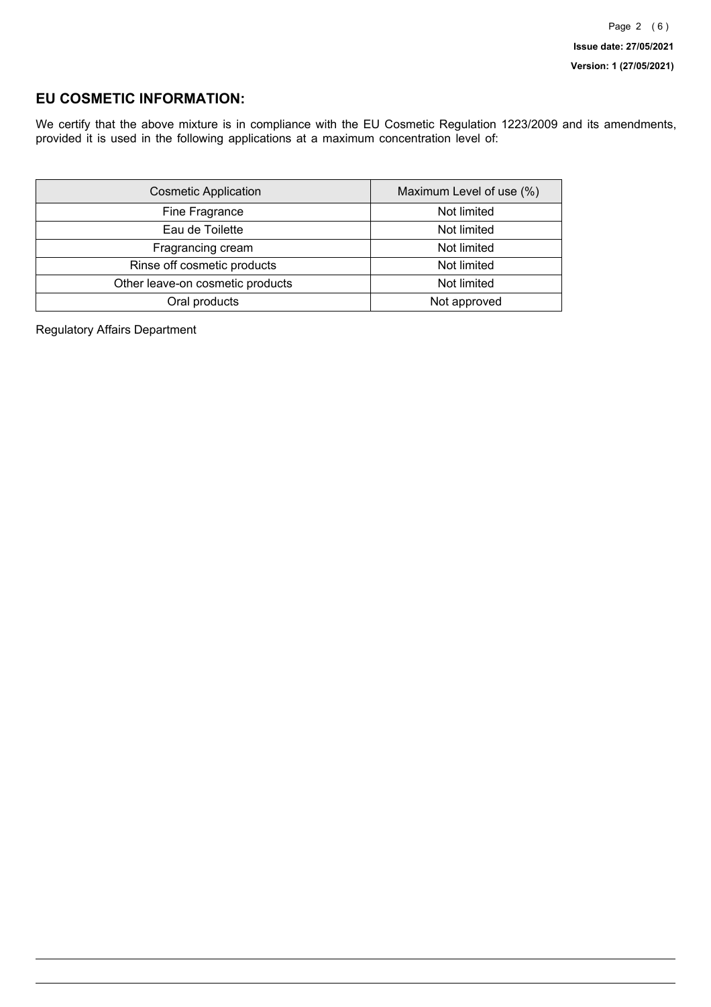## **EU COSMETIC INFORMATION:**

We certify that the above mixture is in compliance with the EU Cosmetic Regulation 1223/2009 and its amendments, provided it is used in the following applications at a maximum concentration level of:

| <b>Cosmetic Application</b>      | Maximum Level of use (%) |
|----------------------------------|--------------------------|
| Fine Fragrance                   | Not limited              |
| Eau de Toilette                  | Not limited              |
| Fragrancing cream                | Not limited              |
| Rinse off cosmetic products      | Not limited              |
| Other leave-on cosmetic products | Not limited              |
| Oral products                    | Not approved             |

Regulatory Affairs Department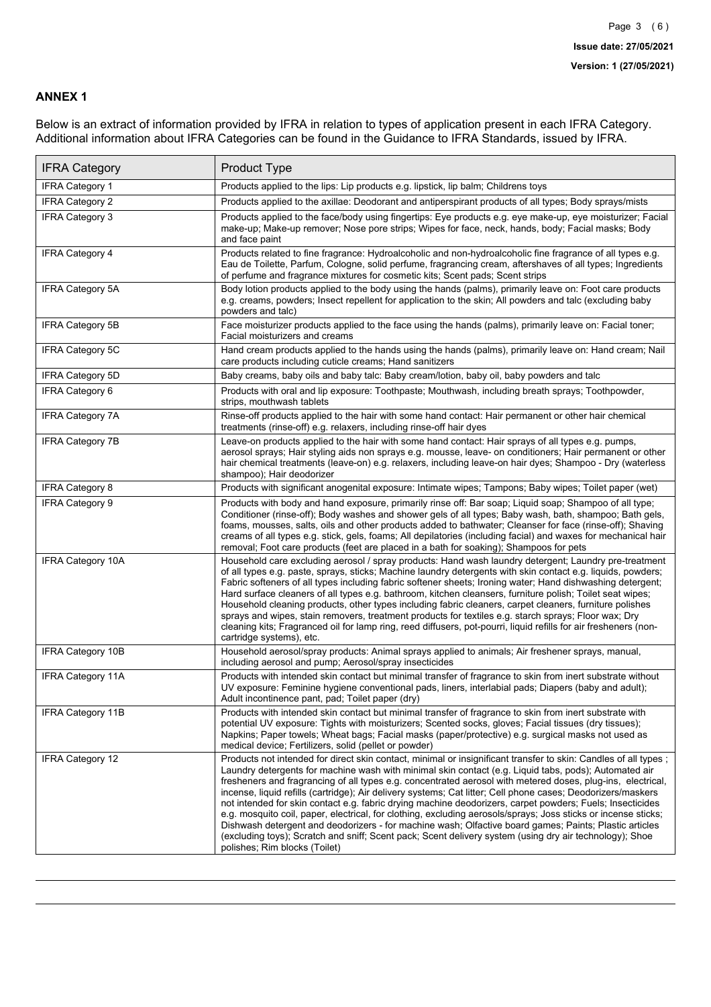### **ANNEX 1**

Below is an extract of information provided by IFRA in relation to types of application present in each IFRA Category. Additional information about IFRA Categories can be found in the Guidance to IFRA Standards, issued by IFRA.

| <b>IFRA Category</b>     | Product Type                                                                                                                                                                                                                                                                                                                                                                                                                                                                                                                                                                                                                                                                                                                                                                                                                                                                                                                                 |
|--------------------------|----------------------------------------------------------------------------------------------------------------------------------------------------------------------------------------------------------------------------------------------------------------------------------------------------------------------------------------------------------------------------------------------------------------------------------------------------------------------------------------------------------------------------------------------------------------------------------------------------------------------------------------------------------------------------------------------------------------------------------------------------------------------------------------------------------------------------------------------------------------------------------------------------------------------------------------------|
| <b>IFRA Category 1</b>   | Products applied to the lips: Lip products e.g. lipstick, lip balm; Childrens toys                                                                                                                                                                                                                                                                                                                                                                                                                                                                                                                                                                                                                                                                                                                                                                                                                                                           |
| <b>IFRA Category 2</b>   | Products applied to the axillae: Deodorant and antiperspirant products of all types; Body sprays/mists                                                                                                                                                                                                                                                                                                                                                                                                                                                                                                                                                                                                                                                                                                                                                                                                                                       |
| IFRA Category 3          | Products applied to the face/body using fingertips: Eye products e.g. eye make-up, eye moisturizer; Facial<br>make-up; Make-up remover; Nose pore strips; Wipes for face, neck, hands, body; Facial masks; Body<br>and face paint                                                                                                                                                                                                                                                                                                                                                                                                                                                                                                                                                                                                                                                                                                            |
| <b>IFRA Category 4</b>   | Products related to fine fragrance: Hydroalcoholic and non-hydroalcoholic fine fragrance of all types e.g.<br>Eau de Toilette, Parfum, Cologne, solid perfume, fragrancing cream, aftershaves of all types; Ingredients<br>of perfume and fragrance mixtures for cosmetic kits; Scent pads; Scent strips                                                                                                                                                                                                                                                                                                                                                                                                                                                                                                                                                                                                                                     |
| <b>IFRA Category 5A</b>  | Body lotion products applied to the body using the hands (palms), primarily leave on: Foot care products<br>e.g. creams, powders; Insect repellent for application to the skin; All powders and talc (excluding baby<br>powders and talc)                                                                                                                                                                                                                                                                                                                                                                                                                                                                                                                                                                                                                                                                                                    |
| IFRA Category 5B         | Face moisturizer products applied to the face using the hands (palms), primarily leave on: Facial toner;<br>Facial moisturizers and creams                                                                                                                                                                                                                                                                                                                                                                                                                                                                                                                                                                                                                                                                                                                                                                                                   |
| IFRA Category 5C         | Hand cream products applied to the hands using the hands (palms), primarily leave on: Hand cream; Nail<br>care products including cuticle creams; Hand sanitizers                                                                                                                                                                                                                                                                                                                                                                                                                                                                                                                                                                                                                                                                                                                                                                            |
| <b>IFRA Category 5D</b>  | Baby creams, baby oils and baby talc: Baby cream/lotion, baby oil, baby powders and talc                                                                                                                                                                                                                                                                                                                                                                                                                                                                                                                                                                                                                                                                                                                                                                                                                                                     |
| <b>IFRA Category 6</b>   | Products with oral and lip exposure: Toothpaste; Mouthwash, including breath sprays; Toothpowder,<br>strips, mouthwash tablets                                                                                                                                                                                                                                                                                                                                                                                                                                                                                                                                                                                                                                                                                                                                                                                                               |
| <b>IFRA Category 7A</b>  | Rinse-off products applied to the hair with some hand contact: Hair permanent or other hair chemical<br>treatments (rinse-off) e.g. relaxers, including rinse-off hair dyes                                                                                                                                                                                                                                                                                                                                                                                                                                                                                                                                                                                                                                                                                                                                                                  |
| <b>IFRA Category 7B</b>  | Leave-on products applied to the hair with some hand contact: Hair sprays of all types e.g. pumps,<br>aerosol sprays; Hair styling aids non sprays e.g. mousse, leave- on conditioners; Hair permanent or other<br>hair chemical treatments (leave-on) e.g. relaxers, including leave-on hair dyes; Shampoo - Dry (waterless<br>shampoo); Hair deodorizer                                                                                                                                                                                                                                                                                                                                                                                                                                                                                                                                                                                    |
| <b>IFRA Category 8</b>   | Products with significant anogenital exposure: Intimate wipes; Tampons; Baby wipes; Toilet paper (wet)                                                                                                                                                                                                                                                                                                                                                                                                                                                                                                                                                                                                                                                                                                                                                                                                                                       |
| <b>IFRA Category 9</b>   | Products with body and hand exposure, primarily rinse off: Bar soap; Liquid soap; Shampoo of all type;<br>Conditioner (rinse-off); Body washes and shower gels of all types; Baby wash, bath, shampoo; Bath gels,<br>foams, mousses, salts, oils and other products added to bathwater; Cleanser for face (rinse-off); Shaving<br>creams of all types e.g. stick, gels, foams; All depilatories (including facial) and waxes for mechanical hair<br>removal; Foot care products (feet are placed in a bath for soaking); Shampoos for pets                                                                                                                                                                                                                                                                                                                                                                                                   |
| <b>IFRA Category 10A</b> | Household care excluding aerosol / spray products: Hand wash laundry detergent; Laundry pre-treatment<br>of all types e.g. paste, sprays, sticks; Machine laundry detergents with skin contact e.g. liquids, powders;<br>Fabric softeners of all types including fabric softener sheets; Ironing water; Hand dishwashing detergent;<br>Hard surface cleaners of all types e.g. bathroom, kitchen cleansers, furniture polish; Toilet seat wipes;<br>Household cleaning products, other types including fabric cleaners, carpet cleaners, furniture polishes<br>sprays and wipes, stain removers, treatment products for textiles e.g. starch sprays; Floor wax; Dry<br>cleaning kits; Fragranced oil for lamp ring, reed diffusers, pot-pourri, liquid refills for air fresheners (non-<br>cartridge systems), etc.                                                                                                                          |
| <b>IFRA Category 10B</b> | Household aerosol/spray products: Animal sprays applied to animals; Air freshener sprays, manual,<br>including aerosol and pump; Aerosol/spray insecticides                                                                                                                                                                                                                                                                                                                                                                                                                                                                                                                                                                                                                                                                                                                                                                                  |
| <b>IFRA Category 11A</b> | Products with intended skin contact but minimal transfer of fragrance to skin from inert substrate without<br>UV exposure: Feminine hygiene conventional pads, liners, interlabial pads; Diapers (baby and adult);<br>Adult incontinence pant, pad; Toilet paper (dry)                                                                                                                                                                                                                                                                                                                                                                                                                                                                                                                                                                                                                                                                       |
| <b>IFRA Category 11B</b> | Products with intended skin contact but minimal transfer of fragrance to skin from inert substrate with<br>potential UV exposure: Tights with moisturizers; Scented socks, gloves; Facial tissues (dry tissues);<br>Napkins; Paper towels; Wheat bags; Facial masks (paper/protective) e.g. surgical masks not used as<br>medical device; Fertilizers, solid (pellet or powder)                                                                                                                                                                                                                                                                                                                                                                                                                                                                                                                                                              |
| <b>IFRA Category 12</b>  | Products not intended for direct skin contact, minimal or insignificant transfer to skin: Candles of all types;<br>Laundry detergents for machine wash with minimal skin contact (e.g. Liquid tabs, pods); Automated air<br>fresheners and fragrancing of all types e.g. concentrated aerosol with metered doses, plug-ins, electrical,<br>incense, liquid refills (cartridge); Air delivery systems; Cat litter; Cell phone cases; Deodorizers/maskers<br>not intended for skin contact e.g. fabric drying machine deodorizers, carpet powders; Fuels; Insecticides<br>e.g. mosquito coil, paper, electrical, for clothing, excluding aerosols/sprays; Joss sticks or incense sticks;<br>Dishwash detergent and deodorizers - for machine wash; Olfactive board games; Paints; Plastic articles<br>(excluding toys); Scratch and sniff; Scent pack; Scent delivery system (using dry air technology); Shoe<br>polishes; Rim blocks (Toilet) |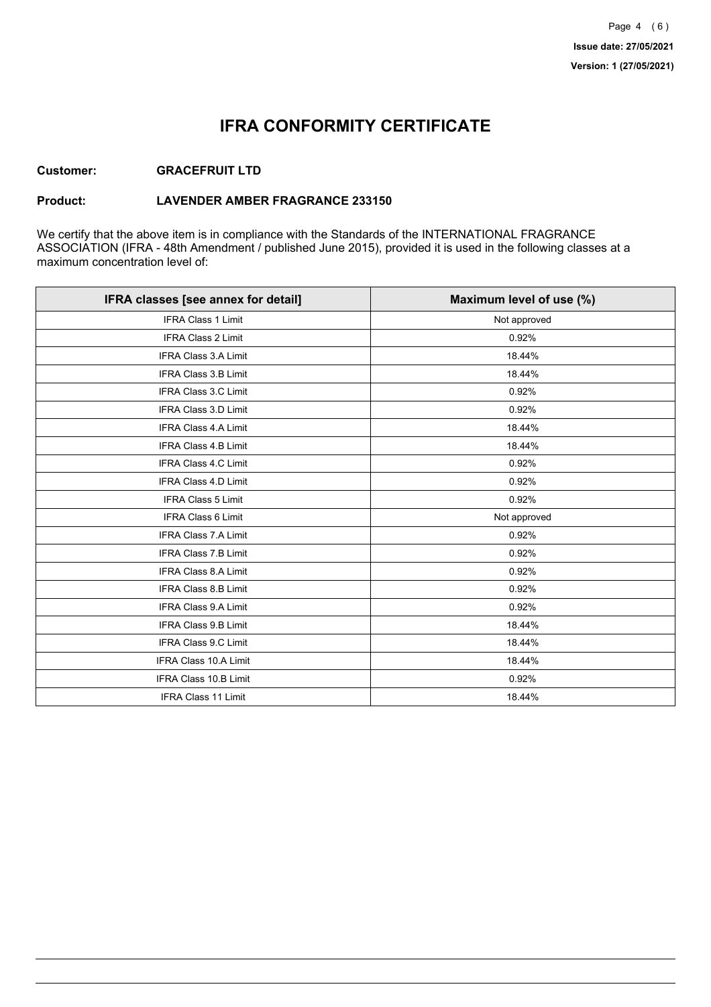# **IFRA CONFORMITY CERTIFICATE**

### **Customer: GRACEFRUIT LTD**

#### **Product: LAVENDER AMBER FRAGRANCE 233150**

We certify that the above item is in compliance with the Standards of the INTERNATIONAL FRAGRANCE ASSOCIATION (IFRA - 48th Amendment / published June 2015), provided it is used in the following classes at a maximum concentration level of:

| IFRA classes [see annex for detail] | Maximum level of use (%) |
|-------------------------------------|--------------------------|
| <b>IFRA Class 1 Limit</b>           | Not approved             |
| IFRA Class 2 Limit                  | 0.92%                    |
| <b>IFRA Class 3.A Limit</b>         | 18.44%                   |
| <b>IFRA Class 3.B Limit</b>         | 18.44%                   |
| IFRA Class 3.C Limit                | 0.92%                    |
| IFRA Class 3.D Limit                | 0.92%                    |
| <b>IFRA Class 4.A Limit</b>         | 18.44%                   |
| <b>IFRA Class 4.B Limit</b>         | 18.44%                   |
| <b>IFRA Class 4.C Limit</b>         | 0.92%                    |
| IFRA Class 4.D Limit                | 0.92%                    |
| <b>IFRA Class 5 Limit</b>           | 0.92%                    |
| <b>IFRA Class 6 Limit</b>           | Not approved             |
| <b>IFRA Class 7.A Limit</b>         | 0.92%                    |
| <b>IFRA Class 7.B Limit</b>         | 0.92%                    |
| IFRA Class 8.A Limit                | 0.92%                    |
| IFRA Class 8.B Limit                | 0.92%                    |
| <b>IFRA Class 9.A Limit</b>         | 0.92%                    |
| <b>IFRA Class 9.B Limit</b>         | 18.44%                   |
| IFRA Class 9.C Limit                | 18.44%                   |
| IFRA Class 10.A Limit               | 18.44%                   |
| <b>IFRA Class 10.B Limit</b>        | 0.92%                    |
| <b>IFRA Class 11 Limit</b>          | 18.44%                   |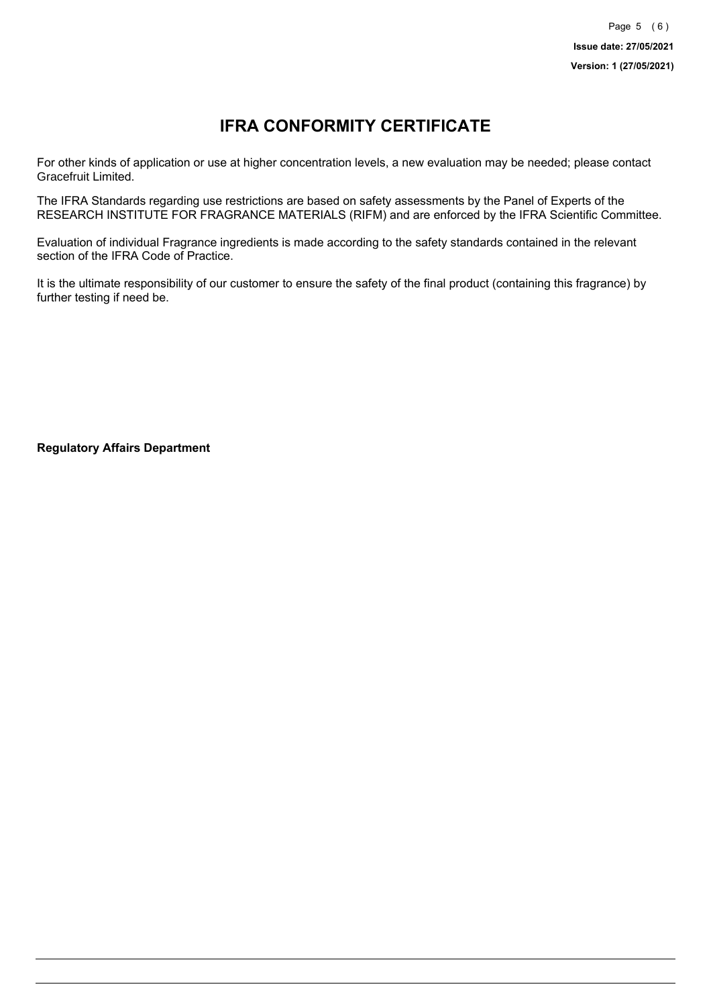# **IFRA CONFORMITY CERTIFICATE**

For other kinds of application or use at higher concentration levels, a new evaluation may be needed; please contact Gracefruit Limited.

The IFRA Standards regarding use restrictions are based on safety assessments by the Panel of Experts of the RESEARCH INSTITUTE FOR FRAGRANCE MATERIALS (RIFM) and are enforced by the IFRA Scientific Committee.

Evaluation of individual Fragrance ingredients is made according to the safety standards contained in the relevant section of the IFRA Code of Practice.

It is the ultimate responsibility of our customer to ensure the safety of the final product (containing this fragrance) by further testing if need be.

**Regulatory Affairs Department**